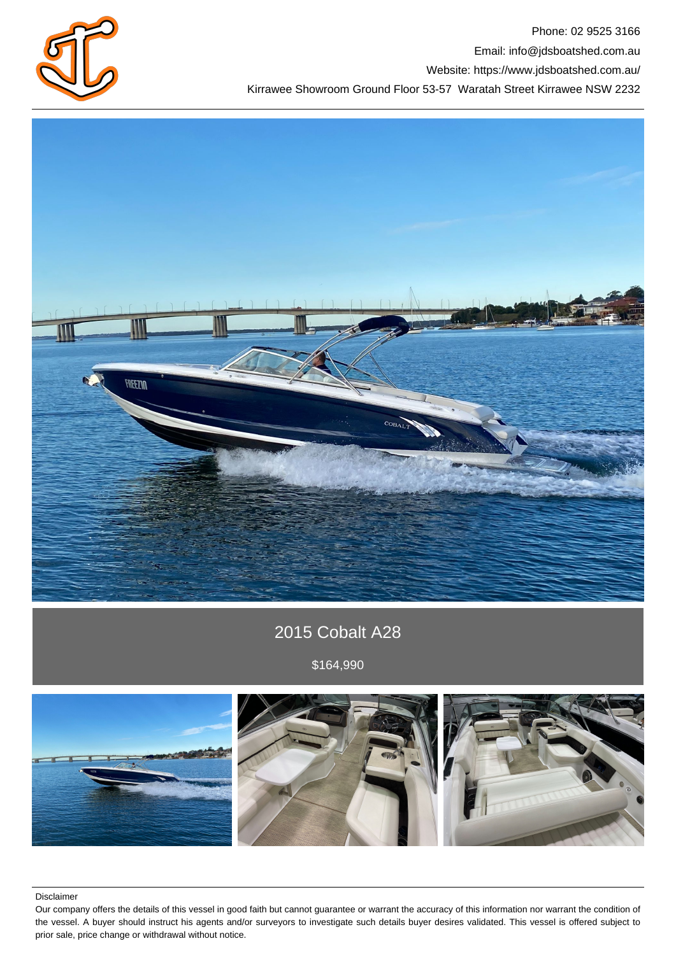

Phone: 02 9525 3166 Email: info@jdsboatshed.com.au Website: https://www.jdsboatshed.com.au/ Kirrawee Showroom Ground Floor 53-57 Waratah Street Kirrawee NSW 2232



# 2015 Cobalt A28

\$164,990



Disclaimer

Our company offers the details of this vessel in good faith but cannot guarantee or warrant the accuracy of this information nor warrant the condition of the vessel. A buyer should instruct his agents and/or surveyors to investigate such details buyer desires validated. This vessel is offered subject to prior sale, price change or withdrawal without notice.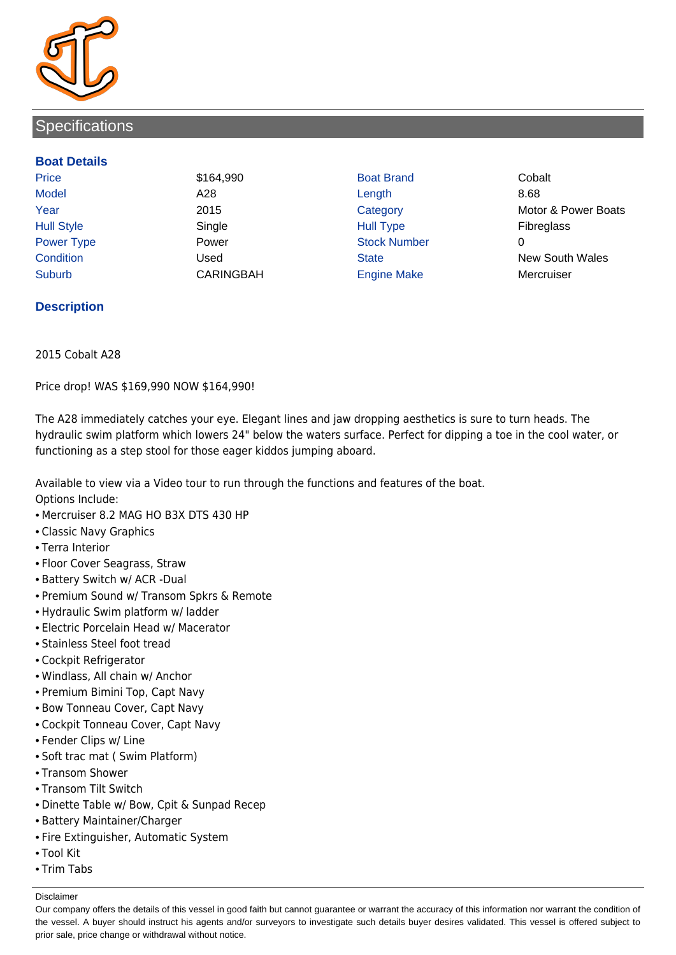

## **Specifications**

#### **Boat Details**

Price **\$164,990 Boat Brand Cobalt** Cobalt Model A28 Length 8.68 Hull Style Single Hull Type Fibreglass Power Type **Power Power** Power Stock Number Suburb CARINGBAH Engine Make Mercruiser

Year 2015 2015 Category Motor & Power Boats Condition Used State New South Wales

### **Description**

2015 Cobalt A28

Price drop! WAS \$169,990 NOW \$164,990!

The A28 immediately catches your eye. Elegant lines and jaw dropping aesthetics is sure to turn heads. The hydraulic swim platform which lowers 24" below the waters surface. Perfect for dipping a toe in the cool water, or functioning as a step stool for those eager kiddos jumping aboard.

Available to view via a Video tour to run through the functions and features of the boat.

Options Include:

- Mercruiser 8.2 MAG HO B3X DTS 430 HP
- Classic Navy Graphics
- Terra Interior
- Floor Cover Seagrass, Straw
- Battery Switch w/ ACR -Dual
- Premium Sound w/ Transom Spkrs & Remote
- Hydraulic Swim platform w/ ladder
- Electric Porcelain Head w/ Macerator
- Stainless Steel foot tread
- Cockpit Refrigerator
- Windlass, All chain w/ Anchor
- Premium Bimini Top, Capt Navy
- Bow Tonneau Cover, Capt Navy
- Cockpit Tonneau Cover, Capt Navy
- Fender Clips w/ Line
- Soft trac mat ( Swim Platform)
- Transom Shower
- Transom Tilt Switch
- Dinette Table w/ Bow, Cpit & Sunpad Recep
- Battery Maintainer/Charger
- Fire Extinguisher, Automatic System
- Tool Kit
- Trim Tabs

Disclaimer

Our company offers the details of this vessel in good faith but cannot guarantee or warrant the accuracy of this information nor warrant the condition of the vessel. A buyer should instruct his agents and/or surveyors to investigate such details buyer desires validated. This vessel is offered subject to prior sale, price change or withdrawal without notice.